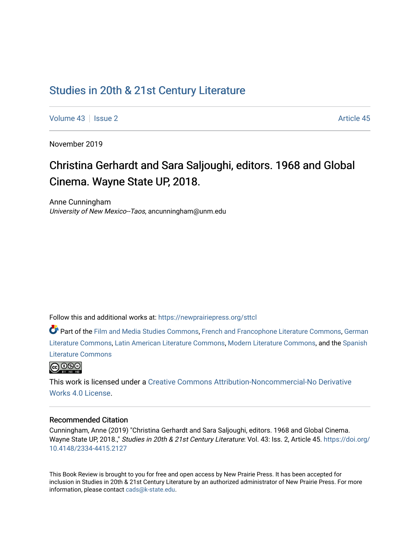## [Studies in 20th & 21st Century Literature](https://newprairiepress.org/sttcl)

[Volume 43](https://newprairiepress.org/sttcl/vol43) | [Issue 2](https://newprairiepress.org/sttcl/vol43/iss2) Article 45

November 2019

# Christina Gerhardt and Sara Saljoughi, editors. 1968 and Global Cinema. Wayne State UP, 2018.

Anne Cunningham University of New Mexico--Taos, ancunningham@unm.edu

Follow this and additional works at: [https://newprairiepress.org/sttcl](https://newprairiepress.org/sttcl?utm_source=newprairiepress.org%2Fsttcl%2Fvol43%2Fiss2%2F45&utm_medium=PDF&utm_campaign=PDFCoverPages) 

Part of the [Film and Media Studies Commons,](http://network.bepress.com/hgg/discipline/563?utm_source=newprairiepress.org%2Fsttcl%2Fvol43%2Fiss2%2F45&utm_medium=PDF&utm_campaign=PDFCoverPages) [French and Francophone Literature Commons,](http://network.bepress.com/hgg/discipline/465?utm_source=newprairiepress.org%2Fsttcl%2Fvol43%2Fiss2%2F45&utm_medium=PDF&utm_campaign=PDFCoverPages) [German](http://network.bepress.com/hgg/discipline/469?utm_source=newprairiepress.org%2Fsttcl%2Fvol43%2Fiss2%2F45&utm_medium=PDF&utm_campaign=PDFCoverPages) [Literature Commons,](http://network.bepress.com/hgg/discipline/469?utm_source=newprairiepress.org%2Fsttcl%2Fvol43%2Fiss2%2F45&utm_medium=PDF&utm_campaign=PDFCoverPages) [Latin American Literature Commons,](http://network.bepress.com/hgg/discipline/547?utm_source=newprairiepress.org%2Fsttcl%2Fvol43%2Fiss2%2F45&utm_medium=PDF&utm_campaign=PDFCoverPages) [Modern Literature Commons](http://network.bepress.com/hgg/discipline/1050?utm_source=newprairiepress.org%2Fsttcl%2Fvol43%2Fiss2%2F45&utm_medium=PDF&utm_campaign=PDFCoverPages), and the [Spanish](http://network.bepress.com/hgg/discipline/550?utm_source=newprairiepress.org%2Fsttcl%2Fvol43%2Fiss2%2F45&utm_medium=PDF&utm_campaign=PDFCoverPages)  [Literature Commons](http://network.bepress.com/hgg/discipline/550?utm_source=newprairiepress.org%2Fsttcl%2Fvol43%2Fiss2%2F45&utm_medium=PDF&utm_campaign=PDFCoverPages) 



This work is licensed under a [Creative Commons Attribution-Noncommercial-No Derivative](https://creativecommons.org/licenses/by-nc-nd/4.0/)  [Works 4.0 License](https://creativecommons.org/licenses/by-nc-nd/4.0/).

#### Recommended Citation

Cunningham, Anne (2019) "Christina Gerhardt and Sara Saljoughi, editors. 1968 and Global Cinema. Wayne State UP, 2018.," Studies in 20th & 21st Century Literature: Vol. 43: Iss. 2, Article 45. [https://doi.org/](https://doi.org/10.4148/2334-4415.2127) [10.4148/2334-4415.2127](https://doi.org/10.4148/2334-4415.2127)

This Book Review is brought to you for free and open access by New Prairie Press. It has been accepted for inclusion in Studies in 20th & 21st Century Literature by an authorized administrator of New Prairie Press. For more information, please contact [cads@k-state.edu](mailto:cads@k-state.edu).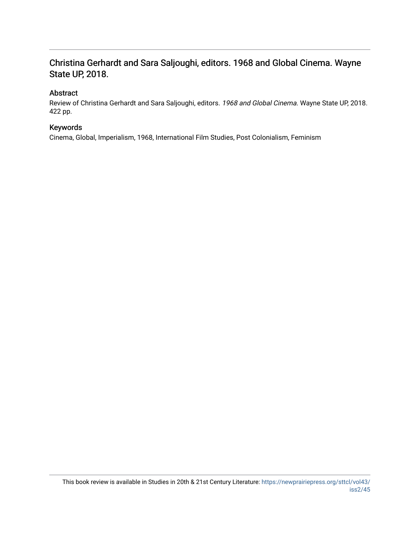### Christina Gerhardt and Sara Saljoughi, editors. 1968 and Global Cinema. Wayne State UP, 2018.

### Abstract

Review of Christina Gerhardt and Sara Saljoughi, editors. 1968 and Global Cinema. Wayne State UP, 2018. 422 pp.

### Keywords

Cinema, Global, Imperialism, 1968, International Film Studies, Post Colonialism, Feminism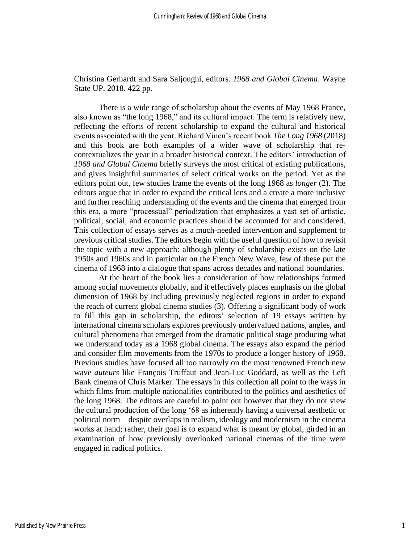Christina Gerhardt and Sara Saljoughi, editors. *1968 and Global Cinema*. Wayne State UP, 2018. 422 pp.

There is a wide range of scholarship about the events of May 1968 France, also known as "the long 1968," and its cultural impact. The term is relatively new, reflecting the efforts of recent scholarship to expand the cultural and historical events associated with the year. Richard Vinen's recent book *The Long 1968* (2018) and this book are both examples of a wider wave of scholarship that recontextualizes the year in a broader historical context. The editors' introduction of *1968 and Global Cinema* briefly surveys the most critical of existing publications, and gives insightful summaries of select critical works on the period. Yet as the editors point out, few studies frame the events of the long 1968 as *longer* (2). The editors argue that in order to expand the critical lens and a create a more inclusive and further reaching understanding of the events and the cinema that emerged from this era, a more "processual" periodization that emphasizes a vast set of artistic, political, social, and economic practices should be accounted for and considered. This collection of essays serves as a much-needed intervention and supplement to previous critical studies. The editors begin with the useful question of how to revisit the topic with a new approach: although plenty of scholarship exists on the late 1950s and 1960s and in particular on the French New Wave, few of these put the cinema of 1968 into a dialogue that spans across decades and national boundaries.

At the heart of the book lies a consideration of how relationships formed among social movements globally, and it effectively places emphasis on the global dimension of 1968 by including previously neglected regions in order to expand the reach of current global cinema studies (3). Offering a significant body of work to fill this gap in scholarship, the editors' selection of 19 essays written by international cinema scholars explores previously undervalued nations, angles, and cultural phenomena that emerged from the dramatic political stage producing what we understand today as a 1968 global cinema. The essays also expand the period and consider film movements from the 1970s to produce a longer history of 1968. Previous studies have focused all too narrowly on the most renowned French new wave *auteurs* like François Truffaut and Jean-Luc Goddard, as well as the Left Bank cinema of Chris Marker. The essays in this collection all point to the ways in which films from multiple nationalities contributed to the politics and aesthetics of the long 1968. The editors are careful to point out however that they do not view the cultural production of the long '68 as inherently having a universal aesthetic or political norm—despite overlaps in realism, ideology and modernism in the cinema works at hand; rather, their goal is to expand what is meant by global, girded in an examination of how previously overlooked national cinemas of the time were engaged in radical politics.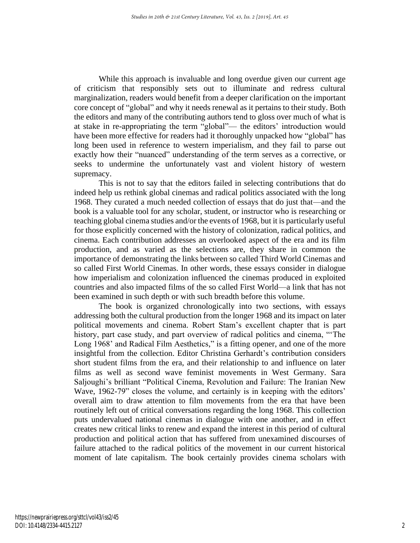While this approach is invaluable and long overdue given our current age of criticism that responsibly sets out to illuminate and redress cultural marginalization, readers would benefit from a deeper clarification on the important core concept of "global" and why it needs renewal as it pertains to their study. Both the editors and many of the contributing authors tend to gloss over much of what is at stake in re-appropriating the term "global"— the editors' introduction would have been more effective for readers had it thoroughly unpacked how "global" has long been used in reference to western imperialism, and they fail to parse out exactly how their "nuanced" understanding of the term serves as a corrective, or seeks to undermine the unfortunately vast and violent history of western supremacy.

This is not to say that the editors failed in selecting contributions that do indeed help us rethink global cinemas and radical politics associated with the long 1968. They curated a much needed collection of essays that do just that—and the book is a valuable tool for any scholar, student, or instructor who is researching or teaching global cinema studies and/or the events of 1968, but it is particularly useful for those explicitly concerned with the history of colonization, radical politics, and cinema. Each contribution addresses an overlooked aspect of the era and its film production, and as varied as the selections are, they share in common the importance of demonstrating the links between so called Third World Cinemas and so called First World Cinemas. In other words, these essays consider in dialogue how imperialism and colonization influenced the cinemas produced in exploited countries and also impacted films of the so called First World—a link that has not been examined in such depth or with such breadth before this volume.

The book is organized chronologically into two sections, with essays addressing both the cultural production from the longer 1968 and its impact on later political movements and cinema. Robert Stam's excellent chapter that is part history, part case study, and part overview of radical politics and cinema, "'The Long 1968' and Radical Film Aesthetics," is a fitting opener, and one of the more insightful from the collection. Editor Christina Gerhardt's contribution considers short student films from the era, and their relationship to and influence on later films as well as second wave feminist movements in West Germany. Sara Saljoughi's brilliant "Political Cinema, Revolution and Failure: The Iranian New Wave, 1962-79" closes the volume, and certainly is in keeping with the editors' overall aim to draw attention to film movements from the era that have been routinely left out of critical conversations regarding the long 1968. This collection puts undervalued national cinemas in dialogue with one another, and in effect creates new critical links to renew and expand the interest in this period of cultural production and political action that has suffered from unexamined discourses of failure attached to the radical politics of the movement in our current historical moment of late capitalism. The book certainly provides cinema scholars with